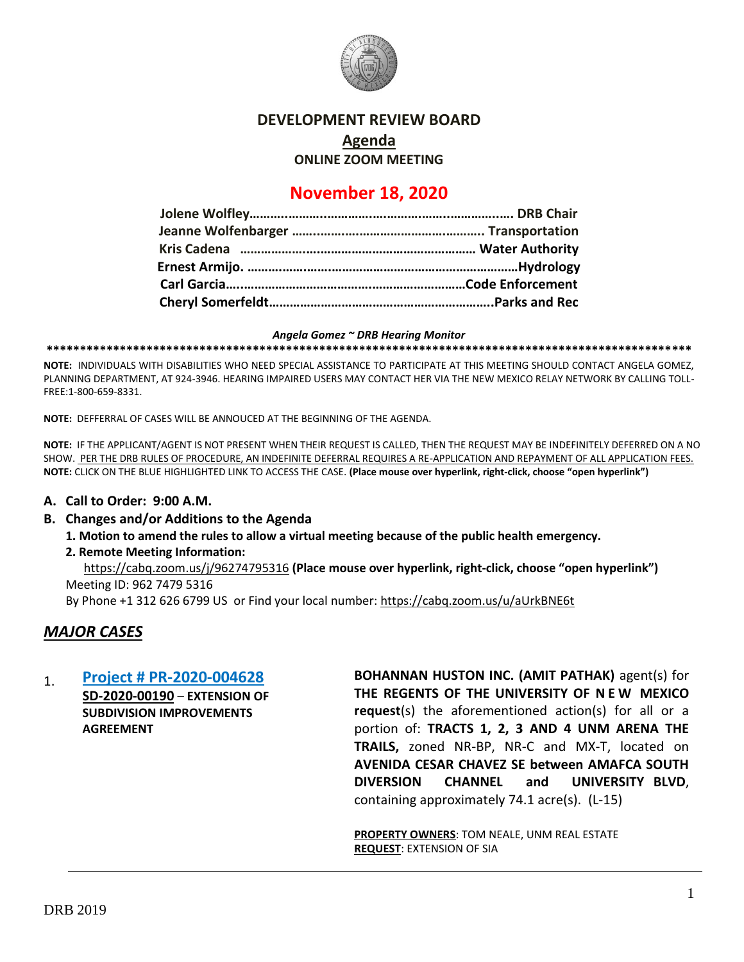

#### **DEVELOPMENT REVIEW BOARD**

**Agenda ONLINE ZOOM MEETING**

# **November 18, 2020**

#### *Angela Gomez ~ DRB Hearing Monitor*

**\*\*\*\*\*\*\*\*\*\*\*\*\*\*\*\*\*\*\*\*\*\*\*\*\*\*\*\*\*\*\*\*\*\*\*\*\*\*\*\*\*\*\*\*\*\*\*\*\*\*\*\*\*\*\*\*\*\*\*\*\*\*\*\*\*\*\*\*\*\*\*\*\*\*\*\*\*\*\*\*\*\*\*\*\*\*\*\*\*\*\*\*\*\*\*\*\***

**NOTE:** INDIVIDUALS WITH DISABILITIES WHO NEED SPECIAL ASSISTANCE TO PARTICIPATE AT THIS MEETING SHOULD CONTACT ANGELA GOMEZ, PLANNING DEPARTMENT, AT 924-3946. HEARING IMPAIRED USERS MAY CONTACT HER VIA THE NEW MEXICO RELAY NETWORK BY CALLING TOLL-FREE:1-800-659-8331.

**NOTE:** DEFFERRAL OF CASES WILL BE ANNOUCED AT THE BEGINNING OF THE AGENDA.

**NOTE:** IF THE APPLICANT/AGENT IS NOT PRESENT WHEN THEIR REQUEST IS CALLED, THEN THE REQUEST MAY BE INDEFINITELY DEFERRED ON A NO SHOW. PER THE DRB RULES OF PROCEDURE, AN INDEFINITE DEFERRAL REQUIRES A RE-APPLICATION AND REPAYMENT OF ALL APPLICATION FEES. **NOTE:** CLICK ON THE BLUE HIGHLIGHTED LINK TO ACCESS THE CASE. **(Place mouse over hyperlink, right-click, choose "open hyperlink")**

#### **A. Call to Order: 9:00 A.M.**

#### **B. Changes and/or Additions to the Agenda**

**1. Motion to amend the rules to allow a virtual meeting because of the public health emergency.** 

#### **2. Remote Meeting Information:**

<https://cabq.zoom.us/j/96274795316> **(Place mouse over hyperlink, right-click, choose "open hyperlink")** Meeting ID: 962 7479 5316

By Phone +1 312 626 6799 US or Find your local number:<https://cabq.zoom.us/u/aUrkBNE6t>

## *MAJOR CASES*

## 1. **[Project # PR-2020-004628](http://data.cabq.gov/government/planning/DRB/PR-2020-004628/DRB%20Submittals/PR-2020-004628_Nov_18_2020/Application/)**

**SD-2020-00190** – **EXTENSION OF SUBDIVISION IMPROVEMENTS AGREEMENT**

**BOHANNAN HUSTON INC. (AMIT PATHAK)** agent(s) for **THE REGENTS OF THE UNIVERSITY OF N E W MEXICO request**(s) the aforementioned action(s) for all or a portion of: **TRACTS 1, 2, 3 AND 4 UNM ARENA THE TRAILS,** zoned NR-BP, NR-C and MX-T, located on **AVENIDA CESAR CHAVEZ SE between AMAFCA SOUTH DIVERSION CHANNEL and UNIVERSITY BLVD**, containing approximately 74.1 acre(s). (L-15)

**PROPERTY OWNERS**: TOM NEALE, UNM REAL ESTATE **REQUEST**: EXTENSION OF SIA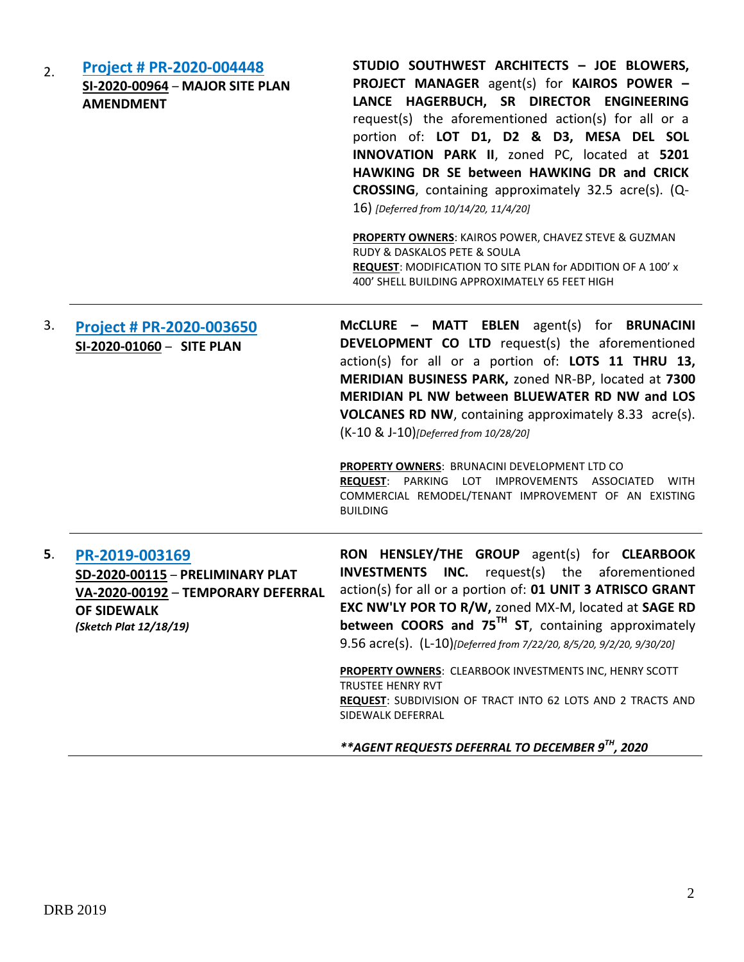| <b>Project # PR-2020-004448</b><br>SI-2020-00964 - MAJOR SITE PLAN<br><b>AMENDMENT</b>                                                   | STUDIO SOUTHWEST ARCHITECTS - JOE BLOWERS,<br>PROJECT MANAGER agent(s) for KAIROS POWER -<br>LANCE HAGERBUCH, SR DIRECTOR ENGINEERING<br>request(s) the aforementioned action(s) for all or a<br>portion of: LOT D1, D2 & D3, MESA DEL SOL<br>INNOVATION PARK II, zoned PC, located at 5201<br>HAWKING DR SE between HAWKING DR and CRICK<br>CROSSING, containing approximately 32.5 acre(s). (Q-<br>16) [Deferred from 10/14/20, 11/4/20]<br><b>PROPERTY OWNERS: KAIROS POWER, CHAVEZ STEVE &amp; GUZMAN</b><br>RUDY & DASKALOS PETE & SOULA<br>REQUEST: MODIFICATION TO SITE PLAN for ADDITION OF A 100' x<br>400' SHELL BUILDING APPROXIMATELY 65 FEET HIGH |
|------------------------------------------------------------------------------------------------------------------------------------------|----------------------------------------------------------------------------------------------------------------------------------------------------------------------------------------------------------------------------------------------------------------------------------------------------------------------------------------------------------------------------------------------------------------------------------------------------------------------------------------------------------------------------------------------------------------------------------------------------------------------------------------------------------------|
| Project # PR-2020-003650<br>SI-2020-01060 - SITE PLAN                                                                                    | McCLURE - MATT EBLEN agent(s) for BRUNACINI<br><b>DEVELOPMENT CO LTD</b> request(s) the aforementioned<br>action(s) for all or a portion of: LOTS 11 THRU 13,<br>MERIDIAN BUSINESS PARK, zoned NR-BP, located at 7300<br>MERIDIAN PL NW between BLUEWATER RD NW and LOS<br><b>VOLCANES RD NW, containing approximately 8.33 acre(s).</b><br>(K-10 & J-10)[Deferred from 10/28/20]<br>PROPERTY OWNERS: BRUNACINI DEVELOPMENT LTD CO<br>REQUEST: PARKING LOT IMPROVEMENTS ASSOCIATED WITH<br>COMMERCIAL REMODEL/TENANT IMPROVEMENT OF AN EXISTING                                                                                                                |
|                                                                                                                                          | <b>BUILDING</b>                                                                                                                                                                                                                                                                                                                                                                                                                                                                                                                                                                                                                                                |
| PR-2019-003169<br>SD-2020-00115 - PRELIMINARY PLAT<br>VA-2020-00192 - TEMPORARY DEFERRAL<br><b>OF SIDEWALK</b><br>(Sketch Plat 12/18/19) | RON HENSLEY/THE GROUP agent(s) for CLEARBOOK<br><b>INVESTMENTS</b><br><b>INC.</b> request(s) the aforementioned<br>action(s) for all or a portion of: 01 UNIT 3 ATRISCO GRANT<br>EXC NW'LY POR TO R/W, zoned MX-M, located at SAGE RD<br>between COORS and 75 <sup>TH</sup> ST, containing approximately<br>9.56 acre(s). (L-10)[Deferred from 7/22/20, 8/5/20, 9/2/20, 9/30/20]<br>PROPERTY OWNERS: CLEARBOOK INVESTMENTS INC, HENRY SCOTT<br><b>TRUSTEE HENRY RVT</b><br>REQUEST: SUBDIVISION OF TRACT INTO 62 LOTS AND 2 TRACTS AND<br>SIDEWALK DEFERRAL                                                                                                    |
|                                                                                                                                          |                                                                                                                                                                                                                                                                                                                                                                                                                                                                                                                                                                                                                                                                |

*\*\*AGENT REQUESTS DEFERRAL TO DECEMBER 9TH, 2020*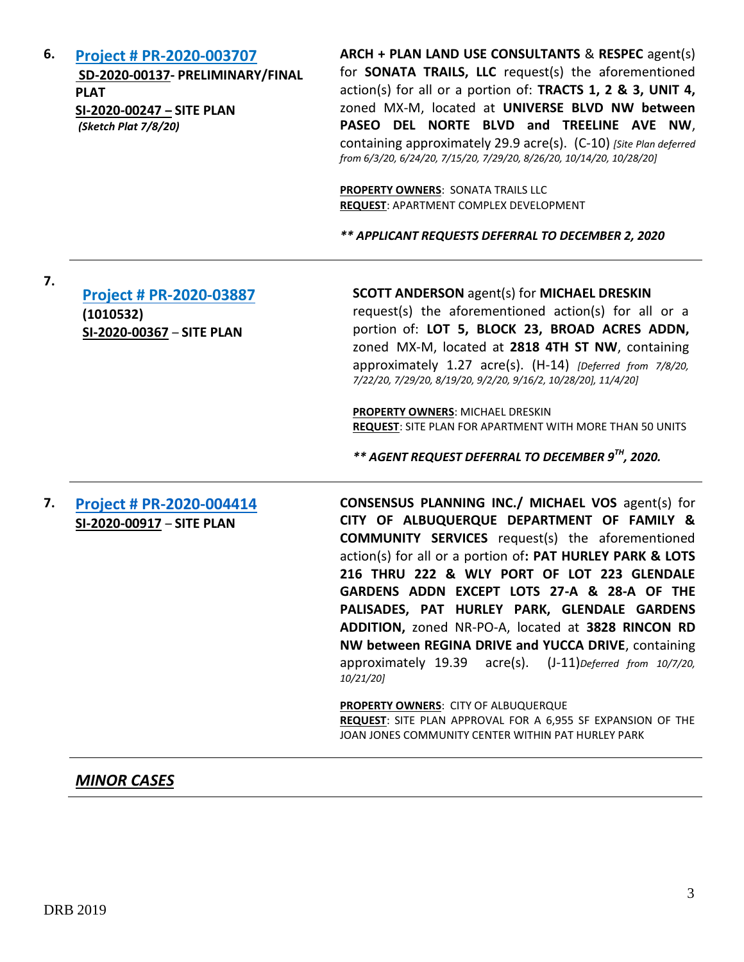**6. [Project # PR-2020-003707](http://data.cabq.gov/government/planning/DRB/PR-2020-003707/DRB%20Submittals/) SD-2020-00137- PRELIMINARY/FINAL PLAT SI-2020-00247 – SITE PLAN** *(Sketch Plat 7/8/20)* 

**ARCH + PLAN LAND USE CONSULTANTS** & **RESPEC** agent(s) for **SONATA TRAILS, LLC** request(s) the aforementioned action(s) for all or a portion of: **TRACTS 1, 2 & 3, UNIT 4,**  zoned MX-M, located at **UNIVERSE BLVD NW between PASEO DEL NORTE BLVD and TREELINE AVE NW**, containing approximately 29.9 acre(s). (C-10) *[Site Plan deferred from 6/3/20, 6/24/20, 7/15/20, 7/29/20, 8/26/20, 10/14/20, 10/28/20]*

**PROPERTY OWNERS**: SONATA TRAILS LLC **REQUEST**: APARTMENT COMPLEX DEVELOPMENT

*\*\* APPLICANT REQUESTS DEFERRAL TO DECEMBER 2, 2020*

**7.**

**[Project # PR-2020-03887](http://data.cabq.gov/government/planning/DRB/PR-2020-003887/DRB%20Submittals/) (1010532) SI-2020-00367** – **SITE PLAN**

**SCOTT ANDERSON** agent(s) for **MICHAEL DRESKIN** request(s) the aforementioned action(s) for all or a portion of: **LOT 5, BLOCK 23, BROAD ACRES ADDN,** zoned MX-M, located at **2818 4TH ST NW**, containing approximately 1.27 acre(s). (H-14) *[Deferred from 7/8/20, 7/22/20, 7/29/20, 8/19/20, 9/2/20, 9/16/2, 10/28/20], 11/4/20]*

**PROPERTY OWNERS**: MICHAEL DRESKIN **REQUEST**: SITE PLAN FOR APARTMENT WITH MORE THAN 50 UNITS

*\*\* AGENT REQUEST DEFERRAL TO DECEMBER 9TH, 2020.*

**7. [Project # PR-2020-004414](http://data.cabq.gov/government/planning/DRB/PR-2020-004414/DRB%20Submittals/) SI-2020-00917** – **SITE PLAN CONSENSUS PLANNING INC./ MICHAEL VOS** agent(s) for **CITY OF ALBUQUERQUE DEPARTMENT OF FAMILY & COMMUNITY SERVICES** request(s) the aforementioned action(s) for all or a portion of**: PAT HURLEY PARK & LOTS 216 THRU 222 & WLY PORT OF LOT 223 GLENDALE GARDENS ADDN EXCEPT LOTS 27-A & 28-A OF THE PALISADES, PAT HURLEY PARK, GLENDALE GARDENS ADDITION,** zoned NR-PO-A, located at **3828 RINCON RD NW between REGINA DRIVE and YUCCA DRIVE**, containing approximately 19.39 acre(s). (J-11)*Deferred from 10/7/20, 10/21/20]*

> **PROPERTY OWNERS**: CITY OF ALBUQUERQUE **REQUEST**: SITE PLAN APPROVAL FOR A 6,955 SF EXPANSION OF THE JOAN JONES COMMUNITY CENTER WITHIN PAT HURLEY PARK

# *MINOR CASES*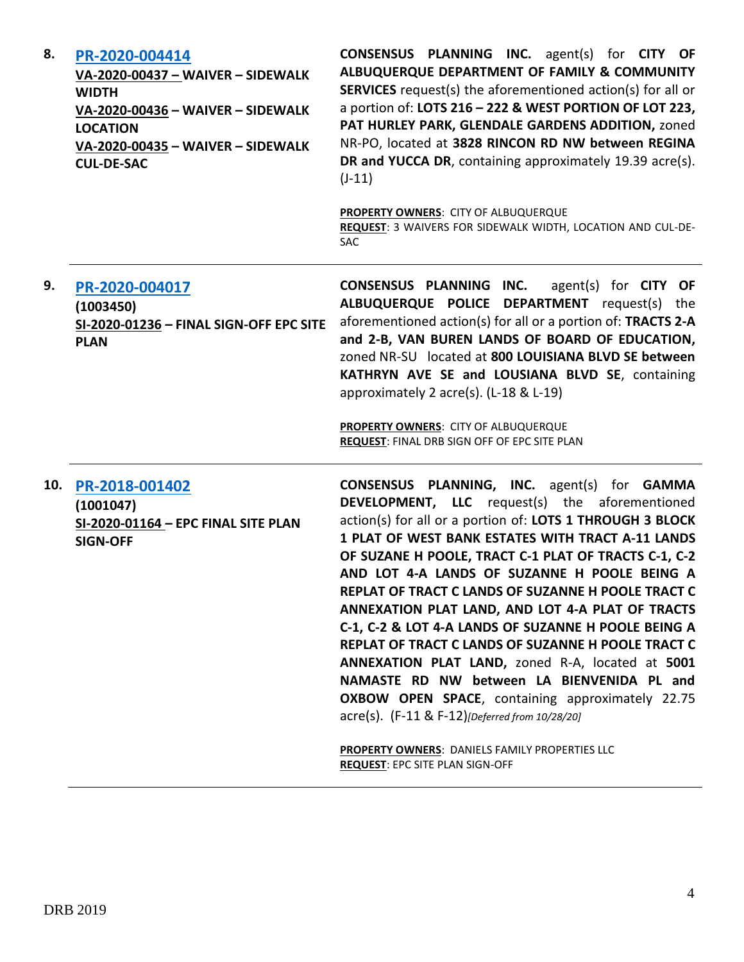| 8.  | PR-2020-004414<br>VA-2020-00437 - WAIVER - SIDEWALK<br><b>WIDTH</b><br>VA-2020-00436 - WAIVER - SIDEWALK<br><b>LOCATION</b><br>VA-2020-00435 - WAIVER - SIDEWALK<br><b>CUL-DE-SAC</b> | CONSENSUS PLANNING INC. agent(s) for CITY OF<br>ALBUQUERQUE DEPARTMENT OF FAMILY & COMMUNITY<br><b>SERVICES</b> request(s) the aforementioned action(s) for all or<br>a portion of: LOTS 216 - 222 & WEST PORTION OF LOT 223,<br>PAT HURLEY PARK, GLENDALE GARDENS ADDITION, zoned<br>NR-PO, located at 3828 RINCON RD NW between REGINA<br>DR and YUCCA DR, containing approximately 19.39 acre(s).<br>$(J-11)$<br>PROPERTY OWNERS: CITY OF ALBUQUERQUE<br>REQUEST: 3 WAIVERS FOR SIDEWALK WIDTH, LOCATION AND CUL-DE-<br><b>SAC</b>                                                                                                                                                                                                                                                                                                                                                 |
|-----|---------------------------------------------------------------------------------------------------------------------------------------------------------------------------------------|---------------------------------------------------------------------------------------------------------------------------------------------------------------------------------------------------------------------------------------------------------------------------------------------------------------------------------------------------------------------------------------------------------------------------------------------------------------------------------------------------------------------------------------------------------------------------------------------------------------------------------------------------------------------------------------------------------------------------------------------------------------------------------------------------------------------------------------------------------------------------------------|
| 9.  | PR-2020-004017<br>(1003450)<br>SI-2020-01236 - FINAL SIGN-OFF EPC SITE<br><b>PLAN</b>                                                                                                 | CONSENSUS PLANNING INC.<br>agent(s) for $CITY$ OF<br>ALBUQUERQUE POLICE DEPARTMENT request(s) the<br>aforementioned action(s) for all or a portion of: TRACTS 2-A<br>and 2-B, VAN BUREN LANDS OF BOARD OF EDUCATION,<br>zoned NR-SU located at 800 LOUISIANA BLVD SE between<br>KATHRYN AVE SE and LOUSIANA BLVD SE, containing<br>approximately 2 acre(s). (L-18 & L-19)<br>PROPERTY OWNERS: CITY OF ALBUQUERQUE<br>REQUEST: FINAL DRB SIGN OFF OF EPC SITE PLAN                                                                                                                                                                                                                                                                                                                                                                                                                     |
| 10. | PR-2018-001402<br>(1001047)<br>SI-2020-01164 - EPC FINAL SITE PLAN<br><b>SIGN-OFF</b>                                                                                                 | <b>CONSENSUS PLANNING, INC.</b> agent(s) for <b>GAMMA</b><br><b>DEVELOPMENT, LLC</b> request(s) the aforementioned<br>action(s) for all or a portion of: LOTS 1 THROUGH 3 BLOCK<br>1 PLAT OF WEST BANK ESTATES WITH TRACT A-11 LANDS<br>OF SUZANE H POOLE, TRACT C-1 PLAT OF TRACTS C-1, C-2<br>AND LOT 4-A LANDS OF SUZANNE H POOLE BEING A<br>REPLAT OF TRACT C LANDS OF SUZANNE H POOLE TRACT C<br>ANNEXATION PLAT LAND, AND LOT 4-A PLAT OF TRACTS<br>C-1, C-2 & LOT 4-A LANDS OF SUZANNE H POOLE BEING A<br>REPLAT OF TRACT C LANDS OF SUZANNE H POOLE TRACT C<br>ANNEXATION PLAT LAND, zoned R-A, located at 5001<br>NAMASTE RD NW between LA BIENVENIDA PL and<br><b>OXBOW OPEN SPACE, containing approximately 22.75</b><br>acre(s). (F-11 & F-12)[Deferred from 10/28/20]<br><b>PROPERTY OWNERS: DANIELS FAMILY PROPERTIES LLC</b><br><b>REQUEST: EPC SITE PLAN SIGN-OFF</b> |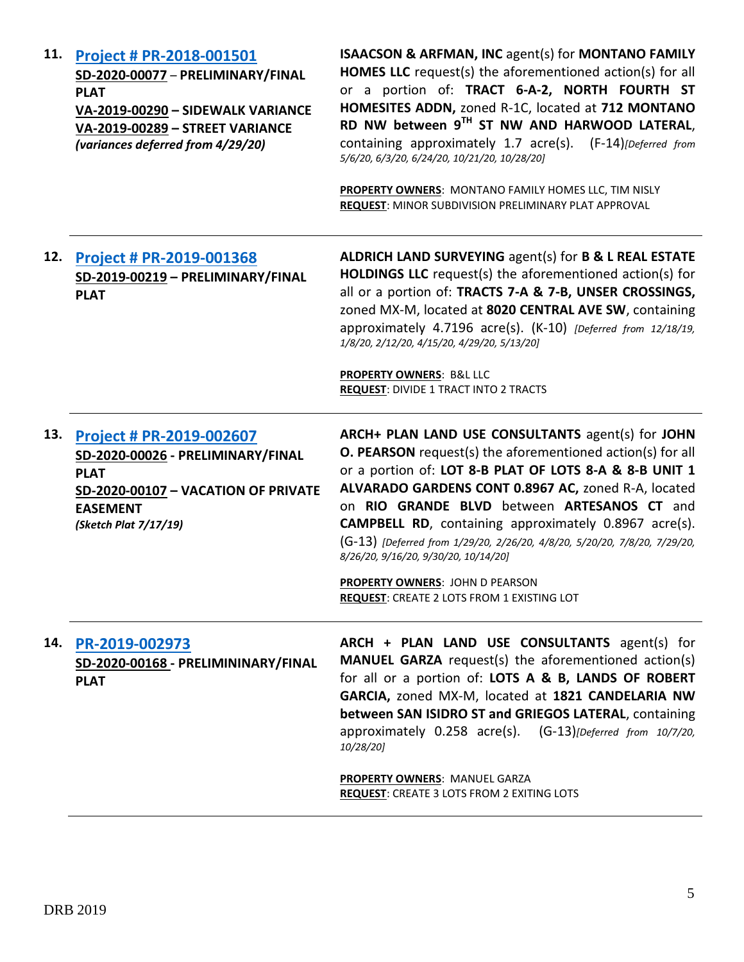| 11. | Project # PR-2018-001501<br>SD-2020-00077 - PRELIMINARY/FINAL<br><b>PLAT</b><br>VA-2019-00290 - SIDEWALK VARIANCE<br>VA-2019-00289 - STREET VARIANCE<br>(variances deferred from 4/29/20) | <b>ISAACSON &amp; ARFMAN, INC agent(s) for MONTANO FAMILY</b><br><b>HOMES LLC</b> request(s) the aforementioned action(s) for all<br>or a portion of: TRACT 6-A-2, NORTH FOURTH ST<br>HOMESITES ADDN, zoned R-1C, located at 712 MONTANO<br>RD NW between 9TH ST NW AND HARWOOD LATERAL,<br>containing approximately 1.7 acre(s). (F-14)[Deferred from<br>5/6/20, 6/3/20, 6/24/20, 10/21/20, 10/28/20]<br>PROPERTY OWNERS: MONTANO FAMILY HOMES LLC, TIM NISLY<br>REQUEST: MINOR SUBDIVISION PRELIMINARY PLAT APPROVAL                                        |
|-----|-------------------------------------------------------------------------------------------------------------------------------------------------------------------------------------------|---------------------------------------------------------------------------------------------------------------------------------------------------------------------------------------------------------------------------------------------------------------------------------------------------------------------------------------------------------------------------------------------------------------------------------------------------------------------------------------------------------------------------------------------------------------|
| 12. | Project # PR-2019-001368<br>SD-2019-00219 - PRELIMINARY/FINAL<br><b>PLAT</b>                                                                                                              | ALDRICH LAND SURVEYING agent(s) for B & L REAL ESTATE<br><b>HOLDINGS LLC</b> request(s) the aforementioned action(s) for<br>all or a portion of: TRACTS 7-A & 7-B, UNSER CROSSINGS,<br>zoned MX-M, located at 8020 CENTRAL AVE SW, containing<br>approximately 4.7196 acre(s). (K-10) [Deferred from 12/18/19,<br>1/8/20, 2/12/20, 4/15/20, 4/29/20, 5/13/20]<br>PROPERTY OWNERS: B&L LLC<br><b>REQUEST: DIVIDE 1 TRACT INTO 2 TRACTS</b>                                                                                                                     |
| 13. | Project # PR-2019-002607<br>SD-2020-00026 - PRELIMINARY/FINAL<br><b>PLAT</b><br>SD-2020-00107 - VACATION OF PRIVATE<br><b>EASEMENT</b><br>(Sketch Plat 7/17/19)                           | ARCH+ PLAN LAND USE CONSULTANTS agent(s) for JOHN<br><b>O. PEARSON</b> request(s) the aforementioned action(s) for all<br>or a portion of: LOT 8-B PLAT OF LOTS 8-A & 8-B UNIT 1<br>ALVARADO GARDENS CONT 0.8967 AC, zoned R-A, located<br>on RIO GRANDE BLVD between ARTESANOS CT and<br><b>CAMPBELL RD</b> , containing approximately 0.8967 acre(s).<br>(G-13) [Deferred from 1/29/20, 2/26/20, 4/8/20, 5/20/20, 7/8/20, 7/29/20,<br>8/26/20, 9/16/20, 9/30/20, 10/14/20]<br>PROPERTY OWNERS: JOHN D PEARSON<br>REQUEST: CREATE 2 LOTS FROM 1 EXISTING LOT |
|     | 14. PR-2019-002973<br>SD-2020-00168 - PRELIMININARY/FINAL<br><b>PLAT</b>                                                                                                                  | ARCH + PLAN LAND USE CONSULTANTS agent(s) for<br><b>MANUEL GARZA</b> request(s) the aforementioned action(s)<br>for all or a portion of: LOTS A & B, LANDS OF ROBERT<br>GARCIA, zoned MX-M, located at 1821 CANDELARIA NW<br>between SAN ISIDRO ST and GRIEGOS LATERAL, containing<br>approximately 0.258 acre(s). (G-13)[Deferred from 10/7/20,<br>10/28/20]<br><b>PROPERTY OWNERS: MANUEL GARZA</b><br><b>REQUEST:</b> CREATE 3 LOTS FROM 2 EXITING LOTS                                                                                                    |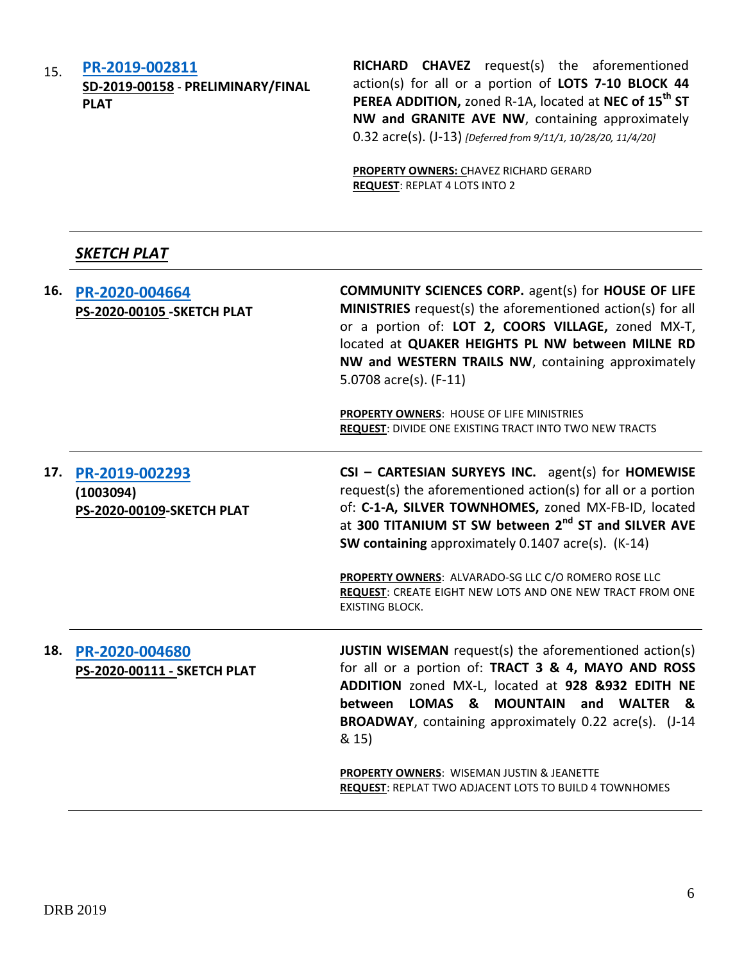15. **[PR-2019-002811](http://data.cabq.gov/government/planning/DRB/PR-2019-002811/DRB%20Submittals/) SD-2019-00158** - **PRELIMINARY/FINAL PLAT**

**RICHARD CHAVEZ** request(s) the aforementioned action(s) for all or a portion of **LOTS 7-10 BLOCK 44 PEREA ADDITION,** zoned R-1A, located at **NEC of 15th ST NW and GRANITE AVE NW**, containing approximately 0.32 acre(s). (J-13) *[Deferred from 9/11/1, 10/28/20, 11/4/20]*

**PROPERTY OWNERS:** CHAVEZ RICHARD GERARD **REQUEST**: REPLAT 4 LOTS INTO 2

# *SKETCH PLAT*

**16. [PR-2020-004664](http://data.cabq.gov/government/planning/DRB/PR-2020-004664/DRB%20Submittals/PR-2020-004664_Nov_18_2020/Application/) PS-2020-00105 -SKETCH PLAT COMMUNITY SCIENCES CORP.** agent(s) for **HOUSE OF LIFE MINISTRIES** request(s) the aforementioned action(s) for all or a portion of: **LOT 2, COORS VILLAGE,** zoned MX-T, located at **QUAKER HEIGHTS PL NW between MILNE RD NW and WESTERN TRAILS NW**, containing approximately 5.0708 acre(s). (F-11) **PROPERTY OWNERS**: HOUSE OF LIFE MINISTRIES **REQUEST**: DIVIDE ONE EXISTING TRACT INTO TWO NEW TRACTS **17. [PR-2019-002293](http://data.cabq.gov/government/planning/DRB/PR-2019-002293/DRB%20Submittals/PR-2019-002293_Nov_18_2020/Application/) (1003094) PS-2020-00109-SKETCH PLAT CSI – CARTESIAN SURYEYS INC.** agent(s) for **HOMEWISE** request(s) the aforementioned action(s) for all or a portion of: **C-1-A, SILVER TOWNHOMES,** zoned MX-FB-ID, located at **300 TITANIUM ST SW between 2nd ST and SILVER AVE SW containing** approximately 0.1407 acre(s). (K-14) **PROPERTY OWNERS**: ALVARADO-SG LLC C/O ROMERO ROSE LLC **REQUEST**: CREATE EIGHT NEW LOTS AND ONE NEW TRACT FROM ONE EXISTING BLOCK. **18. [PR-2020-004680](http://data.cabq.gov/government/planning/DRB/PR-2020-004680/DRB%20Submittals/PR-2020-004680_NOV_18_2020/Application/) PS-2020-00111 - SKETCH PLAT JUSTIN WISEMAN** request(s) the aforementioned action(s) for all or a portion of: **TRACT 3 & 4, MAYO AND ROSS ADDITION** zoned MX-L, located at **928 &932 EDITH NE between LOMAS & MOUNTAIN and WALTER & BROADWAY**, containing approximately 0.22 acre(s). (J-14 & 15) **PROPERTY OWNERS**: WISEMAN JUSTIN & JEANETTE **REQUEST**: REPLAT TWO ADJACENT LOTS TO BUILD 4 TOWNHOMES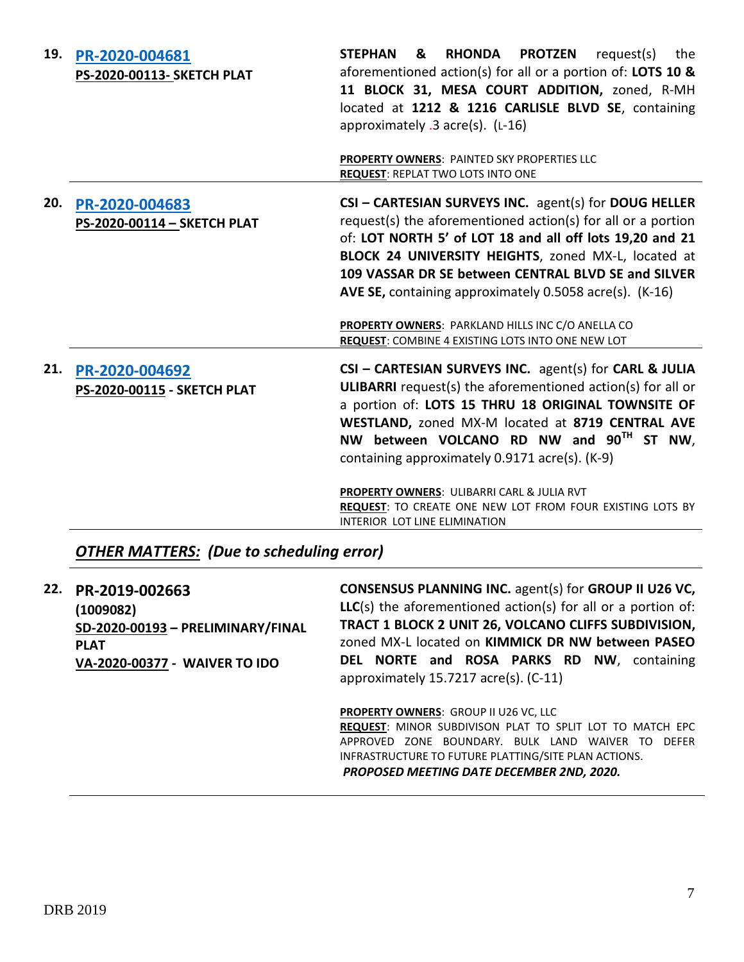| 19. | PR-2020-004681<br>PS-2020-00113- SKETCH PLAT  | <b>STEPHAN</b><br><b>RHONDA</b><br><b>PROTZEN</b><br>&<br>request(s)<br>the<br>aforementioned action(s) for all or a portion of: LOTS 10 &<br>11 BLOCK 31, MESA COURT ADDITION, zoned, R-MH<br>located at 1212 & 1216 CARLISLE BLVD SE, containing<br>approximately $.3$ acre(s). ( $L-16$ )<br><b>PROPERTY OWNERS: PAINTED SKY PROPERTIES LLC</b><br><b>REQUEST: REPLAT TWO LOTS INTO ONE</b>                                                              |
|-----|-----------------------------------------------|-------------------------------------------------------------------------------------------------------------------------------------------------------------------------------------------------------------------------------------------------------------------------------------------------------------------------------------------------------------------------------------------------------------------------------------------------------------|
| 20. | PR-2020-004683<br>PS-2020-00114 - SKETCH PLAT | CSI - CARTESIAN SURVEYS INC. agent(s) for DOUG HELLER<br>request(s) the aforementioned action(s) for all or a portion<br>of: LOT NORTH 5' of LOT 18 and all off lots 19,20 and 21<br>BLOCK 24 UNIVERSITY HEIGHTS, zoned MX-L, located at<br>109 VASSAR DR SE between CENTRAL BLVD SE and SILVER<br>AVE SE, containing approximately 0.5058 acre(s). (K-16)<br>PROPERTY OWNERS: PARKLAND HILLS INC C/O ANELLA CO                                             |
|     |                                               | <b>REQUEST: COMBINE 4 EXISTING LOTS INTO ONE NEW LOT</b>                                                                                                                                                                                                                                                                                                                                                                                                    |
| 21. | PR-2020-004692<br>PS-2020-00115 - SKETCH PLAT | CSI - CARTESIAN SURVEYS INC. agent(s) for CARL & JULIA<br><b>ULIBARRI</b> request(s) the aforementioned action(s) for all or<br>a portion of: LOTS 15 THRU 18 ORIGINAL TOWNSITE OF<br>WESTLAND, zoned MX-M located at 8719 CENTRAL AVE<br>NW between VOLCANO RD NW and 90 <sup>TH</sup> ST NW,<br>containing approximately 0.9171 acre(s). (K-9)<br>PROPERTY OWNERS: ULIBARRI CARL & JULIA RVT<br>REQUEST: TO CREATE ONE NEW LOT FROM FOUR EXISTING LOTS BY |
|     |                                               | INTERIOR LOT LINE ELIMINATION                                                                                                                                                                                                                                                                                                                                                                                                                               |

# *OTHER MATTERS: (Due to scheduling error)*

| 22. | PR-2019-002663<br>(1009082)<br>SD-2020-00193 - PRELIMINARY/FINAL<br><b>PLAT</b><br>VA-2020-00377 - WAIVER TO IDO | <b>CONSENSUS PLANNING INC. agent(s) for GROUP II U26 VC,</b><br>$LLC(s)$ the aforementioned action(s) for all or a portion of:<br>TRACT 1 BLOCK 2 UNIT 26, VOLCANO CLIFFS SUBDIVISION,<br>zoned MX-L located on KIMMICK DR NW between PASEO<br>DEL NORTE and ROSA PARKS RD NW, containing<br>approximately 15.7217 acre(s). (C-11) |
|-----|------------------------------------------------------------------------------------------------------------------|------------------------------------------------------------------------------------------------------------------------------------------------------------------------------------------------------------------------------------------------------------------------------------------------------------------------------------|
|     |                                                                                                                  | <b>PROPERTY OWNERS: GROUP II U26 VC, LLC</b><br>REQUEST: MINOR SUBDIVISON PLAT TO SPLIT LOT TO MATCH EPC<br>APPROVED ZONE BOUNDARY, BULK LAND<br><b>DFFFR</b><br>WAIVFR<br>TO.<br>INFRASTRUCTURE TO FUTURE PLATTING/SITE PLAN ACTIONS.<br>PROPOSED MEETING DATE DECEMBER 2ND, 2020.                                                |